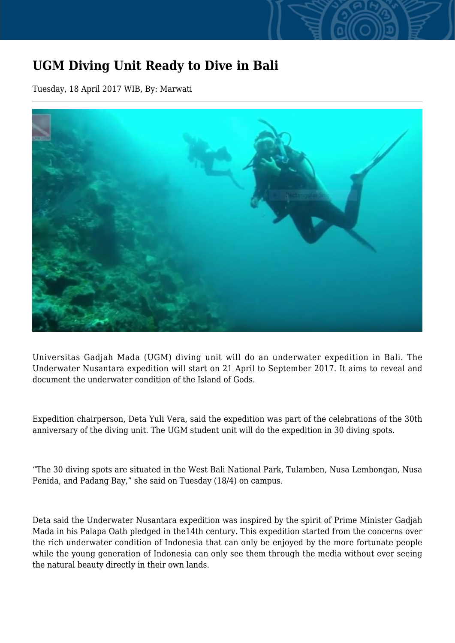## **UGM Diving Unit Ready to Dive in Bali**

Tuesday, 18 April 2017 WIB, By: Marwati



Universitas Gadjah Mada (UGM) diving unit will do an underwater expedition in Bali. The Underwater Nusantara expedition will start on 21 April to September 2017. It aims to reveal and document the underwater condition of the Island of Gods.

Expedition chairperson, Deta Yuli Vera, said the expedition was part of the celebrations of the 30th anniversary of the diving unit. The UGM student unit will do the expedition in 30 diving spots.

"The 30 diving spots are situated in the West Bali National Park, Tulamben, Nusa Lembongan, Nusa Penida, and Padang Bay," she said on Tuesday (18/4) on campus.

Deta said the Underwater Nusantara expedition was inspired by the spirit of Prime Minister Gadjah Mada in his Palapa Oath pledged in the14th century. This expedition started from the concerns over the rich underwater condition of Indonesia that can only be enjoyed by the more fortunate people while the young generation of Indonesia can only see them through the media without ever seeing the natural beauty directly in their own lands.